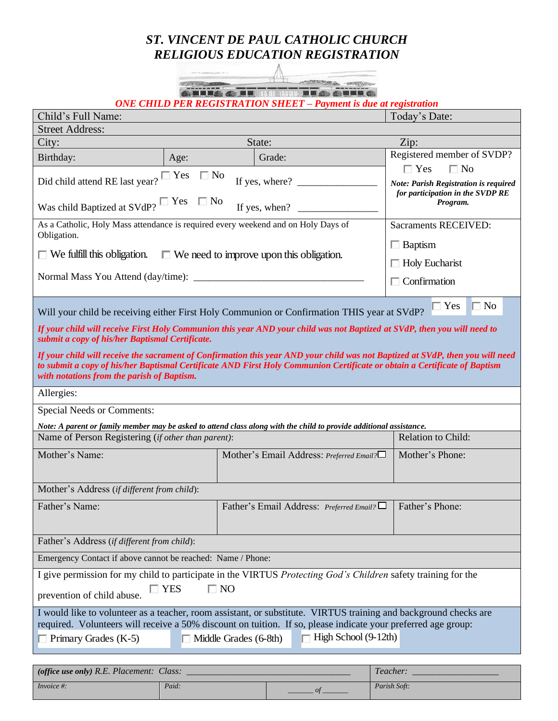## *ST. VINCENT DE PAUL CATHOLIC CHURCH RELIGIOUS EDUCATION REGISTRATION*



*ONE CHILD PER REGISTRATION SHEET – Payment is due at registration*

| Child's Full Name:                                                                                                                                                          |                               |  |                                          | Today's Date:                                                                                                                  |  |
|-----------------------------------------------------------------------------------------------------------------------------------------------------------------------------|-------------------------------|--|------------------------------------------|--------------------------------------------------------------------------------------------------------------------------------|--|
| <b>Street Address:</b>                                                                                                                                                      |                               |  |                                          |                                                                                                                                |  |
| City:                                                                                                                                                                       |                               |  | State:                                   | Zip:                                                                                                                           |  |
| Birthday:                                                                                                                                                                   | Age:                          |  | Grade:                                   | Registered member of SVDP?                                                                                                     |  |
|                                                                                                                                                                             | $\mathbb{I}$ Yes<br>$\Box$ No |  |                                          | $\Box$ Yes<br>$\Box$ No                                                                                                        |  |
| Did child attend RE last year?                                                                                                                                              |                               |  | If yes, where? $\qquad \qquad$           | Note: Parish Registration is required                                                                                          |  |
| for participation in the SVDP RE<br>Was child Baptized at SVdP? $\square$ Yes $\square$ No<br>Program.<br>If yes, when? $\qquad$                                            |                               |  |                                          |                                                                                                                                |  |
|                                                                                                                                                                             |                               |  |                                          |                                                                                                                                |  |
| As a Catholic, Holy Mass attendance is required every weekend and on Holy Days of<br><b>Sacraments RECEIVED:</b><br>Obligation.                                             |                               |  |                                          |                                                                                                                                |  |
|                                                                                                                                                                             |                               |  | $\Box$ Baptism                           |                                                                                                                                |  |
| $\Box$ We fulfill this obligation.<br>$\Box$ We need to improve upon this obligation.                                                                                       |                               |  | $\Box$ Holy Eucharist                    |                                                                                                                                |  |
|                                                                                                                                                                             |                               |  |                                          | $\Box$ Confirmation                                                                                                            |  |
|                                                                                                                                                                             |                               |  |                                          |                                                                                                                                |  |
| Will your child be receiving either First Holy Communion or Confirmation THIS year at SVdP?                                                                                 |                               |  |                                          | $\Box$ No<br>$\Box$ Yes                                                                                                        |  |
|                                                                                                                                                                             |                               |  |                                          |                                                                                                                                |  |
| If your child will receive First Holy Communion this year AND your child was not Baptized at SVdP, then you will need to<br>submit a copy of his/her Baptismal Certificate. |                               |  |                                          |                                                                                                                                |  |
|                                                                                                                                                                             |                               |  |                                          | If your child will receive the sacrament of Confirmation this year AND your child was not Baptized at SVdP, then you will need |  |
| to submit a copy of his/her Baptismal Certificate AND First Holy Communion Certificate or obtain a Certificate of Baptism                                                   |                               |  |                                          |                                                                                                                                |  |
| with notations from the parish of Baptism.                                                                                                                                  |                               |  |                                          |                                                                                                                                |  |
| Allergies:                                                                                                                                                                  |                               |  |                                          |                                                                                                                                |  |
| <b>Special Needs or Comments:</b>                                                                                                                                           |                               |  |                                          |                                                                                                                                |  |
| Note: A parent or family member may be asked to attend class along with the child to provide additional assistance.                                                         |                               |  |                                          |                                                                                                                                |  |
| Name of Person Registering (if other than parent):                                                                                                                          |                               |  |                                          | Relation to Child:                                                                                                             |  |
| Mother's Name:                                                                                                                                                              |                               |  | Mother's Email Address: Preferred Email? | Mother's Phone:                                                                                                                |  |
|                                                                                                                                                                             |                               |  |                                          |                                                                                                                                |  |
| Mother's Address (if different from child):                                                                                                                                 |                               |  |                                          |                                                                                                                                |  |
| Father's Name:                                                                                                                                                              |                               |  | Father's Email Address: Preferred Email? | Father's Phone:                                                                                                                |  |
|                                                                                                                                                                             |                               |  |                                          |                                                                                                                                |  |
| Father's Address (if different from child):                                                                                                                                 |                               |  |                                          |                                                                                                                                |  |
| Emergency Contact if above cannot be reached: Name / Phone:                                                                                                                 |                               |  |                                          |                                                                                                                                |  |
|                                                                                                                                                                             |                               |  |                                          |                                                                                                                                |  |
| I give permission for my child to participate in the VIRTUS Protecting God's Children safety training for the                                                               |                               |  |                                          |                                                                                                                                |  |
| $\Box$ NO<br>$\Box$ YES<br>prevention of child abuse.                                                                                                                       |                               |  |                                          |                                                                                                                                |  |
| I would like to volunteer as a teacher, room assistant, or substitute. VIRTUS training and background checks are                                                            |                               |  |                                          |                                                                                                                                |  |
| required. Volunteers will receive a 50% discount on tuition. If so, please indicate your preferred age group:                                                               |                               |  |                                          |                                                                                                                                |  |
| $\Box$ High School (9-12th)<br>$\Box$ Primary Grades (K-5)<br>$\Box$ Middle Grades (6-8th)                                                                                  |                               |  |                                          |                                                                                                                                |  |
|                                                                                                                                                                             |                               |  |                                          |                                                                                                                                |  |
| (office use only) R.E. Placement: Class:                                                                                                                                    |                               |  | Teacher:                                 |                                                                                                                                |  |

*Invoice #: Paid: \_\_\_\_\_\_\_ of \_\_\_\_\_\_\_ Parish Soft:*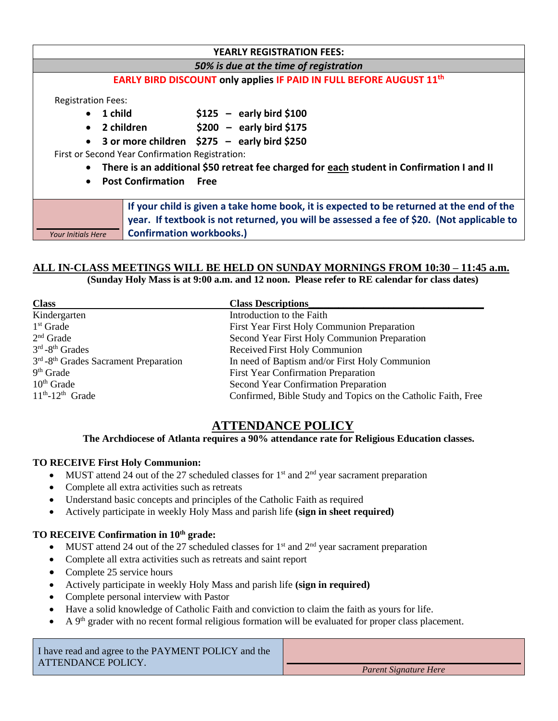| <b>YEARLY REGISTRATION FEES:</b>                |                                                                                                                                                                                                                          |  |  |  |
|-------------------------------------------------|--------------------------------------------------------------------------------------------------------------------------------------------------------------------------------------------------------------------------|--|--|--|
| 50% is due at the time of registration          |                                                                                                                                                                                                                          |  |  |  |
|                                                 | EARLY BIRD DISCOUNT only applies IF PAID IN FULL BEFORE AUGUST 11 <sup>th</sup>                                                                                                                                          |  |  |  |
| <b>Registration Fees:</b>                       |                                                                                                                                                                                                                          |  |  |  |
| 1 child<br>$\bullet$                            | $$125$ – early bird \$100                                                                                                                                                                                                |  |  |  |
| 2 children<br>$\bullet$                         | $$200 - early bird $175$                                                                                                                                                                                                 |  |  |  |
| $\bullet$                                       | 3 or more children $$275 - early bird $250$                                                                                                                                                                              |  |  |  |
| First or Second Year Confirmation Registration: |                                                                                                                                                                                                                          |  |  |  |
| $\bullet$                                       | There is an additional \$50 retreat fee charged for each student in Confirmation I and II                                                                                                                                |  |  |  |
| $\bullet$                                       | <b>Post Confirmation Free</b>                                                                                                                                                                                            |  |  |  |
| <b>Your Initials Here</b>                       | If your child is given a take home book, it is expected to be returned at the end of the<br>year. If textbook is not returned, you will be assessed a fee of \$20. (Not applicable to<br><b>Confirmation workbooks.)</b> |  |  |  |

## **ALL IN-CLASS MEETINGS WILL BE HELD ON SUNDAY MORNINGS FROM 10:30 – 11:45 a.m.**

**(Sunday Holy Mass is at 9:00 a.m. and 12 noon. Please refer to RE calendar for class dates)**

| <b>Class</b>                                                  | <b>Class Descriptions</b>                                     |
|---------------------------------------------------------------|---------------------------------------------------------------|
| Kindergarten                                                  | Introduction to the Faith                                     |
| $1st$ Grade                                                   | First Year First Holy Communion Preparation                   |
| $2nd$ Grade                                                   | Second Year First Holy Communion Preparation                  |
| $3rd - 8th$ Grades                                            | Received First Holy Communion                                 |
| 3 <sup>rd</sup> -8 <sup>th</sup> Grades Sacrament Preparation | In need of Baptism and/or First Holy Communion                |
| $9th$ Grade                                                   | <b>First Year Confirmation Preparation</b>                    |
| $10th$ Grade                                                  | Second Year Confirmation Preparation                          |
| $11th - 12th$ Grade                                           | Confirmed, Bible Study and Topics on the Catholic Faith, Free |

### **ATTENDANCE POLICY**

#### **The Archdiocese of Atlanta requires a 90% attendance rate for Religious Education classes.**

#### **TO RECEIVE First Holy Communion:**

- MUST attend 24 out of the 27 scheduled classes for  $1<sup>st</sup>$  and  $2<sup>nd</sup>$  year sacrament preparation
- Complete all extra activities such as retreats
- Understand basic concepts and principles of the Catholic Faith as required
- Actively participate in weekly Holy Mass and parish life **(sign in sheet required)**

## **TO RECEIVE Confirmation in 10th grade:**

- MUST attend 24 out of the 27 scheduled classes for  $1<sup>st</sup>$  and  $2<sup>nd</sup>$  year sacrament preparation
- Complete all extra activities such as retreats and saint report
- Complete 25 service hours
- Actively participate in weekly Holy Mass and parish life **(sign in required)**
- Complete personal interview with Pastor
- Have a solid knowledge of Catholic Faith and conviction to claim the faith as yours for life.
- $\bullet$  A 9<sup>th</sup> grader with no recent formal religious formation will be evaluated for proper class placement.

| I have read and agree to the PAYMENT POLICY and the<br>ATTENDANCE POLICY. |                       |
|---------------------------------------------------------------------------|-----------------------|
|                                                                           | Parent Signature Here |